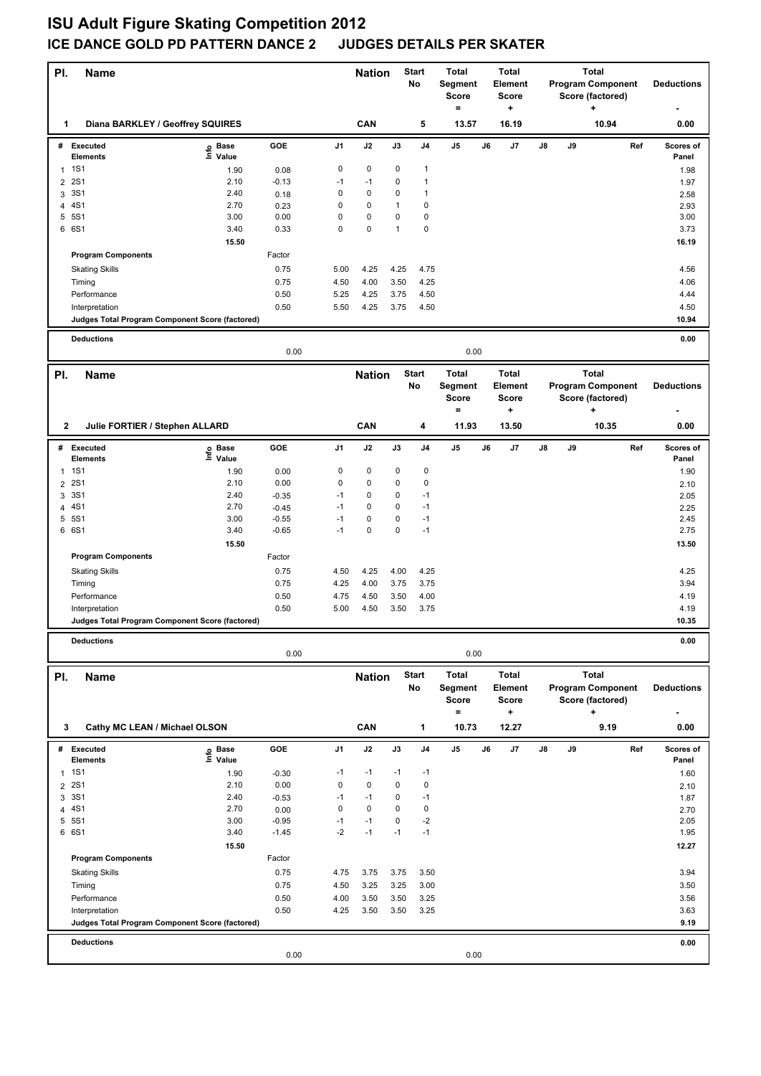## **ISU Adult Figure Skating Competition 2012 ICE DANCE GOLD PD PATTERN DANCE 2 JUDGES DETAILS PER SKATER**

| PI.            | <b>Name</b>                                     |                              |         |                | <b>Nation</b> |              | <b>Total</b><br><b>Start</b><br>No<br>Segment<br>Score<br>$=$ |              |    | <b>Total</b><br><b>Element</b><br><b>Score</b><br>٠ | Total<br><b>Program Component</b><br>Score (factored)<br>٠ |    |                          |     | <b>Deductions</b>  |
|----------------|-------------------------------------------------|------------------------------|---------|----------------|---------------|--------------|---------------------------------------------------------------|--------------|----|-----------------------------------------------------|------------------------------------------------------------|----|--------------------------|-----|--------------------|
| 1              | Diana BARKLEY / Geoffrey SQUIRES                |                              |         |                | CAN           |              | 5                                                             | 13.57        |    | 16.19                                               |                                                            |    | 10.94                    |     | 0.00               |
| #              | Executed<br><b>Elements</b>                     | Base<br>١nf٥<br>Value        | GOE     | J1             | J2            | J3           | J <sub>4</sub>                                                | J5           | J6 | J7                                                  | J8                                                         | J9 |                          | Ref | Scores of<br>Panel |
| $\mathbf{1}$   | 1S1                                             | 1.90                         | 0.08    | 0              | 0             | 0            | $\mathbf{1}$                                                  |              |    |                                                     |                                                            |    |                          |     | 1.98               |
| 2              | <b>2S1</b>                                      | 2.10                         | $-0.13$ | $-1$           | $-1$          | 0            | $\mathbf{1}$                                                  |              |    |                                                     |                                                            |    |                          |     | 1.97               |
| 3              | 3S1                                             | 2.40                         | 0.18    | 0              | $\mathbf 0$   | 0            | $\mathbf{1}$                                                  |              |    |                                                     |                                                            |    |                          |     | 2.58               |
| 4              | 4S1                                             | 2.70                         | 0.23    | $\mathbf 0$    | $\mathbf 0$   | 1            | $\pmb{0}$                                                     |              |    |                                                     |                                                            |    |                          |     | 2.93               |
| 5              | 5S1                                             | 3.00                         | 0.00    | 0              | $\pmb{0}$     | 0            | $\pmb{0}$                                                     |              |    |                                                     |                                                            |    |                          |     | 3.00               |
| 6              | 6S1                                             | 3.40                         | 0.33    | 0              | $\pmb{0}$     | $\mathbf{1}$ | $\mathbf 0$                                                   |              |    |                                                     |                                                            |    |                          |     | 3.73               |
|                |                                                 | 15.50                        |         |                |               |              |                                                               |              |    |                                                     |                                                            |    |                          |     | 16.19              |
|                | <b>Program Components</b>                       |                              | Factor  |                |               |              |                                                               |              |    |                                                     |                                                            |    |                          |     |                    |
|                | <b>Skating Skills</b>                           |                              | 0.75    | 5.00           | 4.25          | 4.25         | 4.75                                                          |              |    |                                                     |                                                            |    |                          |     | 4.56               |
|                | Timing                                          |                              | 0.75    | 4.50           | 4.00          | 3.50         | 4.25                                                          |              |    |                                                     |                                                            |    |                          |     | 4.06               |
|                | Performance                                     |                              | 0.50    | 5.25           | 4.25          | 3.75         | 4.50                                                          |              |    |                                                     |                                                            |    |                          |     | 4.44               |
|                | Interpretation                                  |                              | 0.50    | 5.50           | 4.25          | 3.75         | 4.50                                                          |              |    |                                                     |                                                            |    |                          |     | 4.50               |
|                | Judges Total Program Component Score (factored) |                              |         |                |               |              |                                                               |              |    |                                                     |                                                            |    |                          |     | 10.94              |
|                | <b>Deductions</b>                               |                              |         |                |               |              |                                                               |              |    |                                                     |                                                            |    |                          |     | 0.00               |
|                |                                                 |                              | 0.00    |                |               |              |                                                               | 0.00         |    |                                                     |                                                            |    |                          |     |                    |
| PI.            | <b>Name</b>                                     |                              |         |                | <b>Nation</b> |              | <b>Start</b>                                                  | <b>Total</b> |    | <b>Total</b>                                        |                                                            |    | <b>Total</b>             |     |                    |
|                |                                                 |                              |         |                |               |              | No                                                            | Segment      |    | Element                                             |                                                            |    | <b>Program Component</b> |     | <b>Deductions</b>  |
|                |                                                 |                              |         |                |               |              |                                                               | <b>Score</b> |    | <b>Score</b>                                        |                                                            |    | Score (factored)         |     |                    |
|                |                                                 |                              |         |                |               |              |                                                               | $=$          |    | $\ddot{}$                                           |                                                            |    | ÷                        |     |                    |
| 2              | Julie FORTIER / Stephen ALLARD                  |                              |         |                | CAN           |              | 4                                                             | 11.93        |    | 13.50                                               |                                                            |    | 10.35                    |     | 0.00               |
|                | # Executed<br><b>Elements</b>                   | Base<br>ຼe Base<br>⊑ Value   | GOE     | J1             | J2            | J3           | J4                                                            | J5           | J6 | J7                                                  | J8                                                         | J9 |                          | Ref | Scores of<br>Panel |
| $\mathbf{1}$   | <b>1S1</b>                                      | 1.90                         | 0.00    | 0              | 0             | 0            | 0                                                             |              |    |                                                     |                                                            |    |                          |     | 1.90               |
| 2              | 2S1                                             | 2.10                         | 0.00    | 0              | $\pmb{0}$     | 0            | $\mathbf 0$                                                   |              |    |                                                     |                                                            |    |                          |     | 2.10               |
| 3              | 3S1                                             | 2.40                         | $-0.35$ | $-1$           | $\pmb{0}$     | 0            | $-1$                                                          |              |    |                                                     |                                                            |    |                          |     | 2.05               |
| 4              | 4S1                                             | 2.70                         | $-0.45$ | $-1$           | 0             | 0            | $-1$                                                          |              |    |                                                     |                                                            |    |                          |     | 2.25               |
|                | 5 5S1                                           | 3.00                         | $-0.55$ | $-1$           | $\pmb{0}$     | 0            | $-1$                                                          |              |    |                                                     |                                                            |    |                          |     | 2.45               |
|                | 6 6S1                                           | 3.40                         | $-0.65$ | $-1$           | $\pmb{0}$     | $\mathbf 0$  | $-1$                                                          |              |    |                                                     |                                                            |    |                          |     | 2.75               |
|                |                                                 | 15.50                        |         |                |               |              |                                                               |              |    |                                                     |                                                            |    |                          |     | 13.50              |
|                | <b>Program Components</b>                       |                              | Factor  |                |               |              |                                                               |              |    |                                                     |                                                            |    |                          |     |                    |
|                | <b>Skating Skills</b>                           |                              | 0.75    | 4.50           | 4.25          | 4.00         | 4.25                                                          |              |    |                                                     |                                                            |    |                          |     | 4.25               |
|                | Timing                                          |                              | 0.75    | 4.25           | 4.00          | 3.75         | 3.75                                                          |              |    |                                                     |                                                            |    |                          |     | 3.94               |
|                | Performance                                     |                              | 0.50    | 4.75           | 4.50          | 3.50         | 4.00                                                          |              |    |                                                     |                                                            |    |                          |     | 4.19               |
|                | Interpretation                                  |                              | 0.50    | 5.00           | 4.50          | 3.50         | 3.75                                                          |              |    |                                                     |                                                            |    |                          |     | 4.19               |
|                | Judges Total Program Component Score (factored) |                              |         |                |               |              |                                                               |              |    |                                                     |                                                            |    |                          |     | 10.35              |
|                | <b>Deductions</b>                               |                              |         |                |               |              |                                                               |              |    |                                                     |                                                            |    |                          |     | 0.00               |
|                |                                                 |                              | 0.00    |                |               |              |                                                               | 0.00         |    |                                                     |                                                            |    |                          |     |                    |
| PI.            | <b>Name</b>                                     |                              |         |                | <b>Nation</b> |              | <b>Start</b>                                                  | <b>Total</b> |    | <b>Total</b>                                        |                                                            |    | <b>Total</b>             |     |                    |
|                |                                                 |                              |         |                |               |              | No                                                            | Segment      |    | <b>Element</b>                                      |                                                            |    | <b>Program Component</b> |     | <b>Deductions</b>  |
|                |                                                 |                              |         |                |               |              |                                                               | Score        |    | <b>Score</b>                                        |                                                            |    | Score (factored)         |     |                    |
|                |                                                 |                              |         |                | CAN           |              | 1                                                             | $=$          |    | +                                                   |                                                            |    | ٠<br>9.19                |     |                    |
| 3              | Cathy MC LEAN / Michael OLSON                   |                              |         |                |               |              |                                                               | 10.73        |    | 12.27                                               |                                                            |    |                          |     | 0.00               |
|                | # Executed<br><b>Elements</b>                   | Base<br>ڡ<br>$\bar{z}$ Value | GOE     | J <sub>1</sub> | J2            | J3           | J4                                                            | J5           | J6 | J7                                                  | J8                                                         | J9 |                          | Ref | Scores of<br>Panel |
| $\mathbf{1}$   | <b>1S1</b>                                      | 1.90                         | $-0.30$ | $-1$           | $-1$          | $-1$         | $-1$                                                          |              |    |                                                     |                                                            |    |                          |     | 1.60               |
| $\overline{2}$ | <b>2S1</b>                                      | 2.10                         | 0.00    | 0              | 0             | 0            | 0                                                             |              |    |                                                     |                                                            |    |                          |     | 2.10               |
| 3              | 3S1                                             | 2.40                         | $-0.53$ | $-1$           | $-1$          | 0            | $-1$                                                          |              |    |                                                     |                                                            |    |                          |     | 1.87               |
| 4              | 4S1                                             | 2.70                         | 0.00    | 0              | $\mathbf 0$   | 0            | $\pmb{0}$                                                     |              |    |                                                     |                                                            |    |                          |     | 2.70               |
| 5              | 5S1                                             | 3.00                         | $-0.95$ | $-1$           | $-1$          | 0            | $-2$                                                          |              |    |                                                     |                                                            |    |                          |     | 2.05               |
|                | 6 6S1                                           | 3.40                         | $-1.45$ | $-2$           | $-1$          | $-1$         | $-1$                                                          |              |    |                                                     |                                                            |    |                          |     | 1.95               |
|                |                                                 | 15.50                        |         |                |               |              |                                                               |              |    |                                                     |                                                            |    |                          |     | 12.27              |
|                | <b>Program Components</b>                       |                              | Factor  |                |               |              |                                                               |              |    |                                                     |                                                            |    |                          |     |                    |
|                | <b>Skating Skills</b>                           |                              | 0.75    | 4.75           | 3.75          | 3.75         | 3.50                                                          |              |    |                                                     |                                                            |    |                          |     | 3.94               |
|                | Timing                                          |                              | 0.75    | 4.50           | 3.25          | 3.25         | 3.00                                                          |              |    |                                                     |                                                            |    |                          |     | 3.50               |
|                | Performance                                     |                              | 0.50    | 4.00           | 3.50          | 3.50         | 3.25                                                          |              |    |                                                     |                                                            |    |                          |     | 3.56               |
|                | Interpretation                                  |                              | 0.50    | 4.25           | 3.50          | 3.50         | 3.25                                                          |              |    |                                                     |                                                            |    |                          |     | 3.63               |
|                | Judges Total Program Component Score (factored) |                              |         |                |               |              |                                                               |              |    |                                                     |                                                            |    |                          |     | 9.19               |
|                | <b>Deductions</b>                               |                              |         |                |               |              |                                                               |              |    |                                                     |                                                            |    |                          |     | 0.00               |
|                |                                                 |                              | 0.00    |                |               |              |                                                               | 0.00         |    |                                                     |                                                            |    |                          |     |                    |
|                |                                                 |                              |         |                |               |              |                                                               |              |    |                                                     |                                                            |    |                          |     |                    |